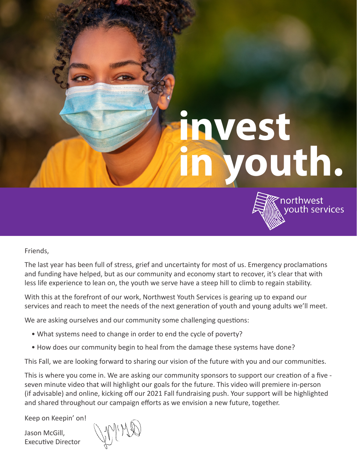# **invest in youth.**



Friends,

The last year has been full of stress, grief and uncertainty for most of us. Emergency proclamations and funding have helped, but as our community and economy start to recover, it's clear that with less life experience to lean on, the youth we serve have a steep hill to climb to regain stability.

With this at the forefront of our work, Northwest Youth Services is gearing up to expand our services and reach to meet the needs of the next generation of youth and young adults we'll meet.

We are asking ourselves and our community some challenging questions:

mmmmmm

- What systems need to change in order to end the cycle of poverty?
- How does our community begin to heal from the damage these systems have done?

This Fall, we are looking forward to sharing our vision of the future with you and our communities.

This is where you come in. We are asking our community sponsors to support our creation of a five seven minute video that will highlight our goals for the future. This video will premiere in-person (if advisable) and online, kicking off our 2021 Fall fundraising push. Your support will be highlighted and shared throughout our campaign efforts as we envision a new future, together.

Keep on Keepin' on!

Jason McGill, Executive Director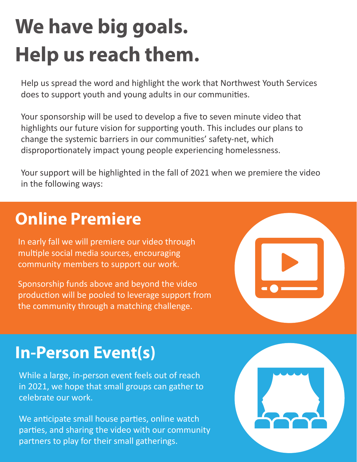## **We have big goals. Help us reach them.**

Help us spread the word and highlight the work that Northwest Youth Services does to support youth and young adults in our communities.

Your sponsorship will be used to develop a five to seven minute video that highlights our future vision for supporting youth. This includes our plans to change the systemic barriers in our communities' safety-net, which disproportionately impact young people experiencing homelessness.

Your support will be highlighted in the fall of 2021 when we premiere the video in the following ways:

### **Online Premiere**

In early fall we will premiere our video through multiple social media sources, encouraging community members to support our work.

Sponsorship funds above and beyond the video production will be pooled to leverage support from the community through a matching challenge.



#### **In-Person Event(s)**

While a large, in-person event feels out of reach in 2021, we hope that small groups can gather to celebrate our work.

We anticipate small house parties, online watch parties, and sharing the video with our community partners to play for their small gatherings.